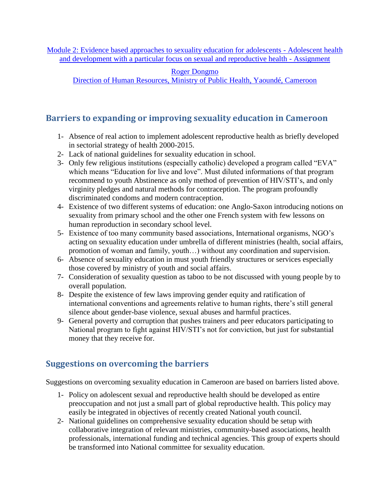[Module 2: Evidence based approaches to sexuality education for adolescents -](http://www.gfmer.ch/SRH-Course-2010/adolescent-sexual-reproductive-health/Module-2-Sexuality-education-adolescents.htm) Adolescent health [and development with a particular focus on sexual and reproductive health -](http://www.gfmer.ch/SRH-Course-2010/adolescent-sexual-reproductive-health/Module-2-Sexuality-education-adolescents.htm) Assignment

[Roger Dongmo](http://www.gfmer.ch/SRH-Course-2010/participants/Dongmo-Roger.htm)

[Direction of Human Resources, Ministry of Public Health, Yaoundé, Cameroon](http://www.gfmer.ch/SRH-Course-2010/participants/Dongmo-Roger.htm)

## **Barriers to expanding or improving sexuality education in Cameroon**

- 1- Absence of real action to implement adolescent reproductive health as briefly developed in sectorial strategy of health 2000-2015.
- 2- Lack of national guidelines for sexuality education in school.
- 3- Only few religious institutions (especially catholic) developed a program called "EVA" which means "Education for live and love". Must diluted informations of that program recommend to youth Abstinence as only method of prevention of HIV/STI's, and only virginity pledges and natural methods for contraception. The program profoundly discriminated condoms and modern contraception.
- 4- Existence of two different systems of education: one Anglo-Saxon introducing notions on sexuality from primary school and the other one French system with few lessons on human reproduction in secondary school level.
- 5- Existence of too many community based associations, International organisms, NGO's acting on sexuality education under umbrella of different ministries (health, social affairs, promotion of woman and family, youth…) without any coordination and supervision.
- 6- Absence of sexuality education in must youth friendly structures or services especially those covered by ministry of youth and social affairs.
- 7- Consideration of sexuality question as taboo to be not discussed with young people by to overall population.
- 8- Despite the existence of few laws improving gender equity and ratification of international conventions and agreements relative to human rights, there's still general silence about gender-base violence, sexual abuses and harmful practices.
- 9- General poverty and corruption that pushes trainers and peer educators participating to National program to fight against HIV/STI's not for conviction, but just for substantial money that they receive for.

## **Suggestions on overcoming the barriers**

Suggestions on overcoming sexuality education in Cameroon are based on barriers listed above.

- 1- Policy on adolescent sexual and reproductive health should be developed as entire preoccupation and not just a small part of global reproductive health. This policy may easily be integrated in objectives of recently created National youth council.
- 2- National guidelines on comprehensive sexuality education should be setup with collaborative integration of relevant ministries, community-based associations, health professionals, international funding and technical agencies. This group of experts should be transformed into National committee for sexuality education.